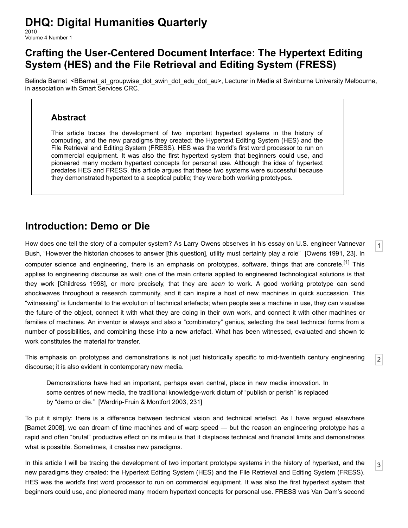# **DHQ: Digital Humanities Quarterly**

2010 Volume 4 Number 1

## **Crafting the User-Centered Document Interface: The Hypertext Editing System (HES) and the File Retrieval and Editing System (FRESS)**

[Belinda Barnet](http://www.digitalhumanities.org/dhq/vol/4/1/bios.html#barnet_belinda) <BBarnet at groupwise dot swin dot edu dot au>, Lecturer in Media at Swinburne University Melbourne, in association with Smart Services CRC.

#### **Abstract**

This article traces the development of two important hypertext systems in the history of computing, and the new paradigms they created: the Hypertext Editing System (HES) and the File Retrieval and Editing System (FRESS). HES was the world's first word processor to run on commercial equipment. It was also the first hypertext system that beginners could use, and pioneered many modern hypertext concepts for personal use. Although the idea of hypertext predates HES and FRESS, this article argues that these two systems were successful because they demonstrated hypertext to a sceptical public; they were both working prototypes.

## **Introduction: Demo or Die**

<span id="page-0-0"></span>How does one tell the story of a computer system? As Larry Owens observes in his essay on U.S. engineer Vannevar Bush, "However the historian chooses to answer [this question], utility must certainly play a role" [\[Owens 1991](#page-8-0), 23]. In computer science and engineering, there is an emphasis on prototypes, software, things that are concrete.<sup>[1]</sup> This applies to engineering discourse as well; one of the main criteria applied to engineered technological solutions is that they work [\[Childress 1998](#page-8-2)], or more precisely, that they are *seen* to work. A good working prototype can send shockwaves throughout a research community, and it can inspire a host of new machines in quick succession. This "witnessing" is fundamental to the evolution of technical artefacts; when people see a machine in use, they can visualise the future of the object, connect it with what they are doing in their own work, and connect it with other machines or families of machines. An inventor is always and also a "combinatory" genius, selecting the best technical forms from a number of possibilities, and combining these into a new artefact. What has been witnessed, evaluated and shown to work constitutes the material for transfer.

[1](#page-0-0)

[2](#page-0-1)

[3](#page-0-2)

<span id="page-0-1"></span>This emphasis on prototypes and demonstrations is not just historically specific to mid-twentieth century engineering discourse; it is also evident in contemporary new media.

Demonstrations have had an important, perhaps even central, place in new media innovation. In some centres of new media, the traditional knowledge-work dictum of "publish or perish" is replaced by "demo or die." [\[Wardrip-Fruin & Montfort 2003,](#page-9-0) 231]

To put it simply: there is a difference between technical vision and technical artefact. As I have argued elsewhere [\[Barnet 2008\]](#page-8-3), we can dream of time machines and of warp speed — but the reason an engineering prototype has a rapid and often "brutal" productive effect on its milieu is that it displaces technical and financial limits and demonstrates what is possible. Sometimes, it creates new paradigms.

<span id="page-0-2"></span>In this article I will be tracing the development of two important prototype systems in the history of hypertext, and the new paradigms they created: the Hypertext Editing System (HES) and the File Retrieval and Editing System (FRESS). HES was the world's first word processor to run on commercial equipment. It was also the first hypertext system that beginners could use, and pioneered many modern hypertext concepts for personal use. FRESS was Van Dam's second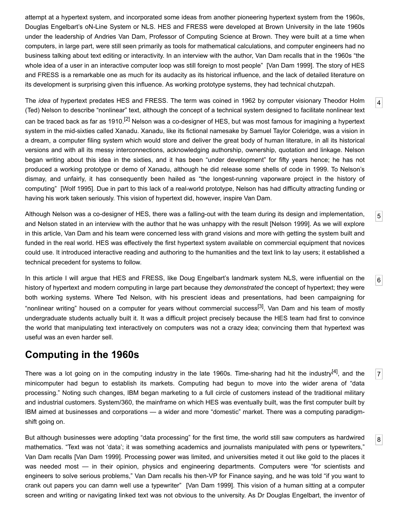attempt at a hypertext system, and incorporated some ideas from another pioneering hypertext system from the 1960s, Douglas Engelbart's oN-Line System or NLS. HES and FRESS were developed at Brown University in the late 1960s under the leadership of Andries Van Dam, Professor of Computing Science at Brown. They were built at a time when computers, in large part, were still seen primarily as tools for mathematical calculations, and computer engineers had no business talking about text editing or interactivity. In an interview with the author, Van Dam recalls that in the 1960s "the whole idea of a user in an interactive computer loop was still foreign to most people" [[Van Dam 1999](#page-9-1)]. The story of HES and FRESS is a remarkable one as much for its audacity as its historical influence, and the lack of detailed literature on its development is surprising given this influence. As working prototype systems, they had technical chutzpah.

<span id="page-1-0"></span>The *idea* of hypertext predates HES and FRESS. The term was coined in 1962 by computer visionary Theodor Holm (Ted) Nelson to describe "nonlinear" text, although the concept of a technical system designed to facilitate nonlinear text can be traced back as far as 1910.<sup>[2]</sup> Nelson was a co-designer of HES, but was most famous for imagining a hypertext system in the mid-sixties called Xanadu. Xanadu, like its fictional namesake by Samuel Taylor Coleridge, was a vision in a dream, a computer filing system which would store and deliver the great body of human literature, in all its historical versions and with all its messy interconnections, acknowledging authorship, ownership, quotation and linkage. Nelson began writing about this idea in the sixties, and it has been "under development" for fifty years hence; he has not produced a working prototype or demo of Xanadu, although he did release some shells of code in 1999. To Nelson's dismay, and unfairly, it has consequently been hailed as "the longest-running vaporware project in the history of computing" [[Wolf 1995](#page-9-2)]. Due in part to this lack of a real-world prototype, Nelson has had difficulty attracting funding or having his work taken seriously. This vision of hypertext did, however, inspire Van Dam.

[4](#page-1-0)

[5](#page-1-1)

[6](#page-1-2)

[7](#page-1-3)

[8](#page-1-4)

<span id="page-1-1"></span>Although Nelson was a co-designer of HES, there was a falling-out with the team during its design and implementation, and Nelson stated in an interview with the author that he was unhappy with the result [[Nelson 1999](#page-8-5)]. As we will explore in this article, Van Dam and his team were concerned less with grand visions and more with getting the system built and funded in the real world. HES was effectively the first hypertext system available on commercial equipment that novices could use. It introduced interactive reading and authoring to the humanities and the text link to lay users; it established a technical precedent for systems to follow.

<span id="page-1-2"></span>In this article I will argue that HES and FRESS, like Doug Engelbart's landmark system NLS, were influential on the history of hypertext and modern computing in large part because they *demonstrated* the concept of hypertext; they were both working systems. Where Ted Nelson, with his prescient ideas and presentations, had been campaigning for "nonlinear writing" housed on a computer for years without commercial success<sup>[3]</sup>, Van Dam and his team of mostly undergraduate students actually built it. It was a difficult project precisely because the HES team had first to convince the world that manipulating text interactively on computers was not a crazy idea; convincing them that hypertext was useful was an even harder sell.

## **Computing in the 1960s**

<span id="page-1-3"></span>There was a lot going on in the computing industry in the late 1960s. Time-sharing had hit the industry<sup>[4]</sup>, and the minicomputer had begun to establish its markets. Computing had begun to move into the wider arena of "data processing." Noting such changes, IBM began marketing to a full circle of customers instead of the traditional military and industrial customers. System/360, the mainframe on which HES was eventually built, was the first computer built by IBM aimed at businesses and corporations — a wider and more "domestic" market. There was a computing paradigmshift going on.

<span id="page-1-4"></span>But although businesses were adopting "data processing" for the first time, the world still saw computers as hardwired mathematics. "Text was not 'data'; it was something academics and journalists manipulated with pens or typewriters," Van Dam recalls [\[Van Dam 1999](#page-9-1)]. Processing power was limited, and universities meted it out like gold to the places it was needed most — in their opinion, physics and engineering departments. Computers were "for scientists and engineers to solve serious problems," Van Dam recalls his then-VP for Finance saying, and he was told "if you want to crank out papers you can damn well use a typewriter" [[Van Dam 1999\]](#page-9-1). This vision of a human sitting at a computer screen and writing or navigating linked text was not obvious to the university. As Dr Douglas Engelbart, the inventor of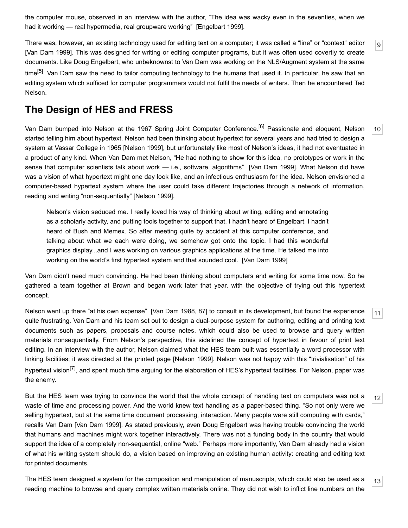the computer mouse, observed in an interview with the author, "The idea was wacky even in the seventies, when we had it working — real hypermedia, real groupware working" [\[Engelbart 1999](#page-8-8)].

<span id="page-2-0"></span>There was, however, an existing technology used for editing text on a computer; it was called a "line" or "context" editor [\[Van Dam 1999](#page-9-1)]. This was designed for writing or editing computer programs, but it was often used covertly to create documents. Like Doug Engelbart, who unbeknownst to Van Dam was working on the NLS/Augment system at the same time<sup>[5]</sup>, Van Dam saw the need to tailor computing technology to the humans that used it. In particular, he saw that an editing system which sufficed for computer programmers would not fulfil the needs of writers. Then he encountered Ted Nelson.

[9](#page-2-0)

[10](#page-2-1)

[11](#page-2-2)

[12](#page-2-3)

[13](#page-2-4)

#### **The Design of HES and FRESS**

<span id="page-2-1"></span>Van Dam bumped into Nelson at the 1967 Spring Joint Computer Conference.<sup>[6]</sup> Passionate and eloquent. Nelson started telling him about hypertext. Nelson had been thinking about hypertext for several years and had tried to design a system at Vassar College in 1965 [[Nelson 1999\]](#page-8-5), but unfortunately like most of Nelson's ideas, it had not eventuated in a product of any kind. When Van Dam met Nelson, "He had nothing to show for this idea, no prototypes or work in the sense that computer scientists talk about work — i.e., software, algorithms" [\[Van Dam 1999\]](#page-9-1). What Nelson did have was a vision of what hypertext might one day look like, and an infectious enthusiasm for the idea. Nelson envisioned a computer-based hypertext system where the user could take different trajectories through a network of information, reading and writing "non-sequentially" [\[Nelson 1999](#page-8-5)].

Nelson's vision seduced me. I really loved his way of thinking about writing, editing and annotating as a scholarly activity, and putting tools together to support that. I hadn't heard of Engelbart. I hadn't heard of Bush and Memex. So after meeting quite by accident at this computer conference, and talking about what we each were doing, we somehow got onto the topic. I had this wonderful graphics display...and I was working on various graphics applications at the time. He talked me into working on the world's first hypertext system and that sounded cool. [[Van Dam 1999](#page-9-1)]

Van Dam didn't need much convincing. He had been thinking about computers and writing for some time now. So he gathered a team together at Brown and began work later that year, with the objective of trying out this hypertext concept.

<span id="page-2-2"></span>Nelson went up there "at his own expense" [[Van Dam 1988,](#page-9-3) 87] to consult in its development, but found the experience quite frustrating. Van Dam and his team set out to design a dual-purpose system for authoring, editing and printing text documents such as papers, proposals and course notes, which could also be used to browse and query written materials nonsequentially. From Nelson's perspective, this sidelined the concept of hypertext in favour of print text editing. In an interview with the author, Nelson claimed what the HES team built was essentially a word processor with linking facilities; it was directed at the printed page [\[Nelson 1999\]](#page-8-5). Nelson was not happy with this "trivialisation" of his hypertext vision<sup>[7]</sup>, and spent much time arguing for the elaboration of HES's hypertext facilities. For Nelson, paper was the enemy.

<span id="page-2-3"></span>But the HES team was trying to convince the world that the whole concept of handling text on computers was not a waste of time and processing power. And the world knew text handling as a paper-based thing. "So not only were we selling hypertext, but at the same time document processing, interaction. Many people were still computing with cards," recalls Van Dam [[Van Dam 1999](#page-9-1)]. As stated previously, even Doug Engelbart was having trouble convincing the world that humans and machines might work together interactively. There was not a funding body in the country that would support the idea of a completely non-sequential, online "web." Perhaps more importantly, Van Dam already had a vision of what his writing system should do, a vision based on improving an existing human activity: creating and editing text for printed documents.

<span id="page-2-4"></span>The HES team designed a system for the composition and manipulation of manuscripts, which could also be used as a reading machine to browse and query complex written materials online. They did not wish to inflict line numbers on the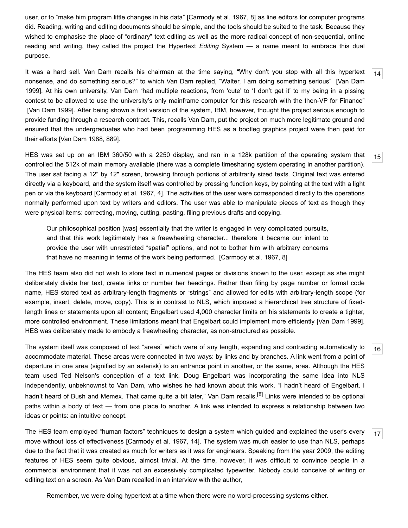user, or to "make him program little changes in his data" [\[Carmody et al. 1967](#page-8-12), 8] as line editors for computer programs did. Reading, writing and editing documents should be simple, and the tools should be suited to the task. Because they wished to emphasise the place of "ordinary" text editing as well as the more radical concept of non-sequential, online reading and writing, they called the project the Hypertext *Editing* System — a name meant to embrace this dual purpose.

<span id="page-3-0"></span>It was a hard sell. Van Dam recalls his chairman at the time saying, "Why don't you stop with all this hypertext [nonsense, and do something serious?" to which Van Dam replied, "Walter, I am doing something serious" \[Van Dam](#page-9-1) 1999]. At his own university, Van Dam "had multiple reactions, from 'cute' to 'I don't get it' to my being in a pissing contest to be allowed to use the university's only mainframe computer for this research with the then-VP for Finance" [[Van Dam 1999\]](#page-9-1). After being shown a first version of the system, IBM, however, thought the project serious enough to provide funding through a research contract. This, recalls Van Dam, put the project on much more legitimate ground and ensured that the undergraduates who had been programming HES as a bootleg graphics project were then paid for their efforts [[Van Dam 1988](#page-9-3), 889].

<span id="page-3-1"></span>HES was set up on an IBM 360/50 with a 2250 display, and ran in a 128k partition of the operating system that controlled the 512k of main memory available (there was a complete timesharing system operating in another partition). The user sat facing a 12" by 12" screen, browsing through portions of arbitrarily sized texts. Original text was entered directly via a keyboard, and the system itself was controlled by pressing function keys, by pointing at the text with a light pen or via the keyboard [\[Carmody et al. 1967,](#page-8-12) 4]. The activities of the user were corresponded directly to the operations normally performed upon text by writers and editors. The user was able to manipulate pieces of text as though they were physical items: correcting, moving, cutting, pasting, filing previous drafts and copying.

Our philosophical position [was] essentially that the writer is engaged in very complicated pursuits, and that this work legitimately has a freewheeling character... therefore it became our intent to provide the user with unrestricted "spatial" options, and not to bother him with arbitrary concerns that have no meaning in terms of the work being performed. [[Carmody et al. 1967](#page-8-12), 8]

The HES team also did not wish to store text in numerical pages or divisions known to the user, except as she might deliberately divide her text, create links or number her headings. Rather than filing by page number or formal code name, HES stored text as arbitrary-length fragments or "strings" and allowed for edits with arbitrary-length scope (for example, insert, delete, move, copy). This is in contrast to NLS, which imposed a hierarchical tree structure of fixedlength lines or statements upon all content; Engelbart used 4,000 character limits on his statements to create a tighter, more controlled environment. These limitations meant that Engelbart could implement more efficiently [\[Van Dam 1999](#page-9-1)]. HES was deliberately made to embody a freewheeling character, as non-structured as possible.

<span id="page-3-2"></span>The system itself was composed of text "areas" which were of any length, expanding and contracting automatically to accommodate material. These areas were connected in two ways: by links and by branches. A link went from a point of departure in one area (signified by an asterisk) to an entrance point in another, or the same, area. Although the HES team used Ted Nelson's conception of a text link, Doug Engelbart was incorporating the same idea into NLS independently, unbeknownst to Van Dam, who wishes he had known about this work. "I hadn't heard of Engelbart. I hadn't heard of Bush and Memex. That came quite a bit later," Van Dam recalls.<sup>[8]</sup> Links were intended to be optional paths within a body of text — from one place to another. A link was intended to express a relationship between two ideas or points: an intuitive concept.

<span id="page-3-3"></span>The HES team employed "human factors" techniques to design a system which guided and explained the user's every move without loss of effectiveness [[Carmody et al. 1967](#page-8-12), 14]. The system was much easier to use than NLS, perhaps due to the fact that it was created as much for writers as it was for engineers. Speaking from the year 2009, the editing features of HES seem quite obvious, almost trivial. At the time, however, it was difficult to convince people in a commercial environment that it was not an excessively complicated typewriter. Nobody could conceive of writing or editing text on a screen. As Van Dam recalled in an interview with the author,

Remember, we were doing hypertext at a time when there were no word-processing systems either.

[16](#page-3-2)

[17](#page-3-3)

[14](#page-3-0)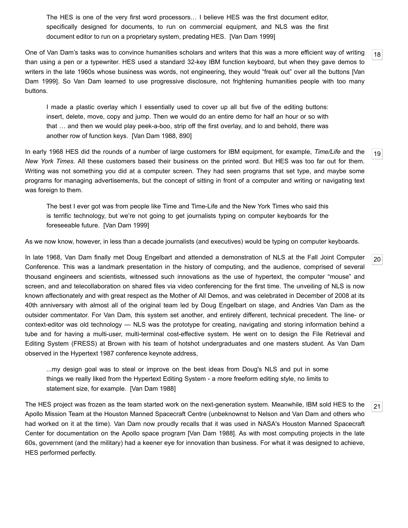The HES is one of the very first word processors… I believe HES was the first document editor, specifically designed for documents, to run on commercial equipment, and NLS was the first document editor to run on a proprietary system, predating HES. [\[Van Dam 1999\]](#page-9-1)

<span id="page-4-0"></span>[18](#page-4-0) One of Van Dam's tasks was to convince humanities scholars and writers that this was a more efficient way of writing than using a pen or a typewriter. HES used a standard 32-key IBM function keyboard, but when they gave demos to [writers in the late 1960s whose business was words, not engineering, they would "freak out" over all the buttons \[Van](#page-9-1) Dam 1999]. So Van Dam learned to use progressive disclosure, not frightening humanities people with too many buttons.

I made a plastic overlay which I essentially used to cover up all but five of the editing buttons: insert, delete, move, copy and jump. Then we would do an entire demo for half an hour or so with that … and then we would play peek-a-boo, strip off the first overlay, and lo and behold, there was another row of function keys. [\[Van Dam 1988,](#page-9-3) 890]

<span id="page-4-1"></span>[19](#page-4-1) In early 1968 HES did the rounds of a number of large customers for IBM equipment, for example, *Time/Life* and the *New York Times*. All these customers based their business on the printed word. But HES was too far out for them. Writing was not something you did at a computer screen. They had seen programs that set type, and maybe some programs for managing advertisements, but the concept of sitting in front of a computer and writing or navigating text was foreign to them.

The best I ever got was from people like Time and Time-Life and the New York Times who said this is terrific technology, but we're not going to get journalists typing on computer keyboards for the foreseeable future. [[Van Dam 1999](#page-9-1)]

As we now know, however, in less than a decade journalists (and executives) would be typing on computer keyboards.

<span id="page-4-2"></span>In late 1968, Van Dam finally met Doug Engelbart and attended a demonstration of NLS at the Fall Joint Computer Conference. This was a landmark presentation in the history of computing, and the audience, comprised of several thousand engineers and scientists, witnessed such innovations as the use of hypertext, the computer "mouse" and screen, and and telecollaboration on shared files via video conferencing for the first time. The unveiling of NLS is now known affectionately and with great respect as the Mother of All Demos, and was celebrated in December of 2008 at its 40th anniversary with almost all of the original team led by Doug Engelbart on stage, and Andries Van Dam as the outsider commentator. For Van Dam, this system set another, and entirely different, technical precedent. The line- or context-editor was old technology — NLS was the prototype for creating, navigating and storing information behind a tube and for having a multi-user, multi-terminal cost-effective system. He went on to design the File Retrieval and Editing System (FRESS) at Brown with his team of hotshot undergraduates and one masters student. As Van Dam observed in the Hypertext 1987 conference keynote address,

...my design goal was to steal or improve on the best ideas from Doug's NLS and put in some things we really liked from the Hypertext Editing System - a more freeform editing style, no limits to statement size, for example. [[Van Dam 1988](#page-9-3)]

<span id="page-4-3"></span>The HES project was frozen as the team started work on the next-generation system. Meanwhile, IBM sold HES to the Apollo Mission Team at the Houston Manned Spacecraft Centre (unbeknownst to Nelson and Van Dam and others who had worked on it at the time). Van Dam now proudly recalls that it was used in NASA's Houston Manned Spacecraft Center for documentation on the Apollo space program [[Van Dam 1988\]](#page-9-3). As with most computing projects in the late 60s, government (and the military) had a keener eye for innovation than business. For what it was designed to achieve, HES performed perfectly.

[20](#page-4-2)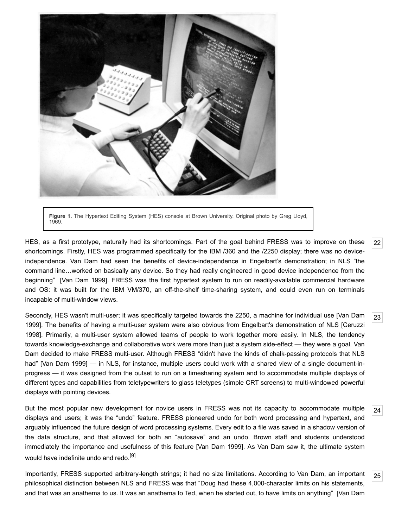

**Figure 1.** The Hypertext Editing System (HES) console at Brown University. Original photo by Greg Lloyd, 1969.

<span id="page-5-0"></span>HES, as a first prototype, naturally had its shortcomings. Part of the goal behind FRESS was to improve on these shortcomings. Firstly, HES was programmed specifically for the IBM /360 and the /2250 display; there was no deviceindependence. Van Dam had seen the benefits of device-independence in Engelbart's demonstration; in NLS "the command line…worked on basically any device. So they had really engineered in good device independence from the beginning" [[Van Dam 1999](#page-9-1)]. FRESS was the first hypertext system to run on readily-available commercial hardware and OS: it was built for the IBM VM/370, an off-the-shelf time-sharing system, and could even run on terminals incapable of multi-window views.

<span id="page-5-1"></span>[Secondly, HES wasn't multi-user; it was specifically targeted towards the 2250, a machine for individual use \[Van Dam](#page-9-1) [1999\]. The benefits of having a multi-user system were also obvious from Engelbart's demonstration of NLS \[Ceruzzi](#page-8-14) 1998]. Primarily, a multi-user system allowed teams of people to work together more easily. In NLS, the tendency towards knowledge-exchange and collaborative work were more than just a system side-effect — they were a goal. Van Dam decided to make FRESS multi-user. Although FRESS "didn't have the kinds of chalk-passing protocols that NLS had" [\[Van Dam 1999\]](#page-9-1) — in NLS, for instance, multiple users could work with a shared view of a single document-inprogress — it was designed from the outset to run on a timesharing system and to accommodate multiple displays of different types and capabilities from teletypewriters to glass teletypes (simple CRT screens) to multi-windowed powerful displays with pointing devices.

<span id="page-5-2"></span>[24](#page-5-2) But the most popular new development for novice users in FRESS was not its capacity to accommodate multiple displays and users; it was the "undo" feature. FRESS pioneered undo for both word processing and hypertext, and arguably influenced the future design of word processing systems. Every edit to a file was saved in a shadow version of the data structure, and that allowed for both an "autosave" and an undo. Brown staff and students understood immediately the importance and usefulness of this feature [\[Van Dam 1999](#page-9-1)]. As Van Dam saw it, the ultimate system would have indefinite undo and redo.<sup>[\[9\]](#page-8-15)</sup>

<span id="page-5-3"></span>[25](#page-5-3) Importantly, FRESS supported arbitrary-length strings; it had no size limitations. According to Van Dam, an important philosophical distinction between NLS and FRESS was that "Doug had these 4,000-character limits on his statements, [and that was an anathema to us. It was an anathema to Ted, when he started out, to have limits on anything" \[Van Dam](#page-9-1)

[22](#page-5-0)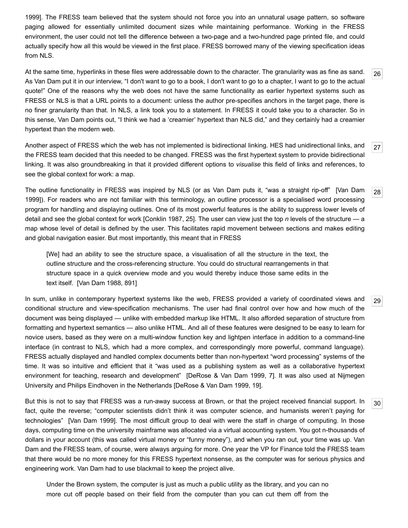[1999\]. The FRESS team believed that the system should not force you into an unnatural usage pattern, so software](#page-9-1) paging allowed for essentially unlimited document sizes while maintaining performance. Working in the FRESS environment, the user could not tell the difference between a two-page and a two-hundred page printed file, and could actually specify how all this would be viewed in the first place. FRESS borrowed many of the viewing specification ideas from NLS.

<span id="page-6-0"></span>At the same time, hyperlinks in these files were addressable down to the character. The granularity was as fine as sand. As Van Dam put it in our interview, "I don't want to go to a book, I don't want to go to a chapter, I want to go to the actual quote!" One of the reasons why the web does not have the same functionality as earlier hypertext systems such as FRESS or NLS is that a URL points to a document: unless the author pre-specifies anchors in the target page, there is no finer granularity than that. In NLS, a link took you to a statement. In FRESS it could take you to a character. So in this sense, Van Dam points out, "I think we had a 'creamier' hypertext than NLS did," and they certainly had a creamier hypertext than the modern web.

<span id="page-6-1"></span>[27](#page-6-1) Another aspect of FRESS which the web has not implemented is bidirectional linking. HES had unidirectional links, and the FRESS team decided that this needed to be changed. FRESS was the first hypertext system to provide bidirectional linking. It was also groundbreaking in that it provided different options to *visualise* this field of links and references, to see the global context for work: a map.

<span id="page-6-2"></span>[The outline functionality in FRESS was inspired by NLS \(or as Van Dam puts it, "was a straight rip-off" \[Van Dam](#page-9-1) 1999]). For readers who are not familiar with this terminology, an outline processor is a specialised word processing program for handling and displaying outlines. One of its most powerful features is the ability to suppress lower levels of detail and see the global context for work [[Conklin 1987,](#page-8-16) 25]. The user can view just the top *n* levels of the structure — a map whose level of detail is defined by the user. This facilitates rapid movement between sections and makes editing and global navigation easier. But most importantly, this meant that in FRESS

[We] had an ability to see the structure space, a visualisation of all the structure in the text, the outline structure and the cross-referencing structure. You could do structural rearrangements in that structure space in a quick overview mode and you would thereby induce those same edits in the text itself. [\[Van Dam 1988,](#page-9-3) 891]

<span id="page-6-3"></span>In sum, unlike in contemporary hypertext systems like the web, FRESS provided a variety of coordinated views and conditional structure and view-specification mechanisms. The user had final control over how and how much of the document was being displayed — unlike with embedded markup like HTML. It also afforded separation of structure from formatting and hypertext semantics — also unlike HTML. And all of these features were designed to be easy to learn for novice users, based as they were on a multi-window function key and lightpen interface in addition to a command-line interface (in contrast to NLS, which had a more complex, and correspondingly more powerful, command language). FRESS actually displayed and handled complex documents better than non-hypertext "word processing" systems of the time. It was so intuitive and efficient that it "was used as a publishing system as well as a collaborative hypertext environment for teaching, research and development" [\[DeRose & Van Dam 1999](#page-8-17), 7]. It was also used at Nijmegen University and Philips Eindhoven in the Netherlands [\[DeRose & Van Dam 1999](#page-8-17), 19].

<span id="page-6-4"></span>But this is not to say that FRESS was a run-away success at Brown, or that the project received financial support. In fact, quite the reverse; "computer scientists didn't think it was computer science, and humanists weren't paying for technologies" [\[Van Dam 1999\]](#page-9-1). The most difficult group to deal with were the staff in charge of computing. In those days, computing time on the university mainframe was allocated via a virtual accounting system. You got n-thousands of dollars in your account (this was called virtual money or "funny money"), and when you ran out, your time was up. Van Dam and the FRESS team, of course, were always arguing for more. One year the VP for Finance told the FRESS team that there would be no more money for this FRESS hypertext nonsense, as the computer was for serious physics and engineering work. Van Dam had to use blackmail to keep the project alive.

Under the Brown system, the computer is just as much a public utility as the library, and you can no more cut off people based on their field from the computer than you can cut them off from the

[29](#page-6-3)

[30](#page-6-4)

[28](#page-6-2)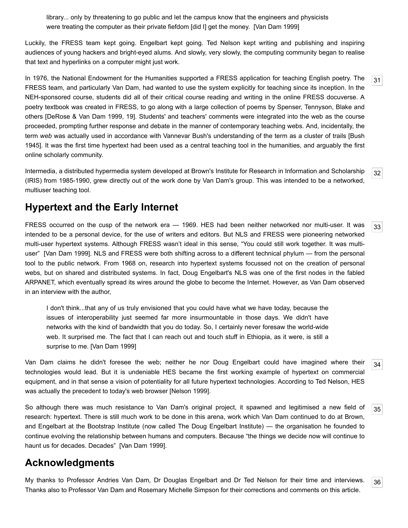library... only by threatening to go public and let the campus know that the engineers and physicists were treating the computer as their private fiefdom [did I] get the money. [\[Van Dam 1999\]](#page-9-1)

Luckily, the FRESS team kept going. Engelbart kept going. Ted Nelson kept writing and publishing and inspiring audiences of young hackers and bright-eyed alums. And slowly, very slowly, the computing community began to realise that text and hyperlinks on a computer might just work.

<span id="page-7-0"></span>In 1976, the National Endowment for the Humanities supported a FRESS application for teaching English poetry. The FRESS team, and particularly Van Dam, had wanted to use the system explicitly for teaching since its inception. In the NEH-sponsored course, students did all of their critical course reading and writing in the online FRESS docuverse. A poetry textbook was created in FRESS, to go along with a large collection of poems by Spenser, Tennyson, Blake and others [\[DeRose & Van Dam 1999](#page-8-17), 19]. Students' and teachers' comments were integrated into the web as the course proceeded, prompting further response and debate in the manner of contemporary teaching webs. And, incidentally, the term *web* was actually used in accordance with Vannevar Bush's understanding of the term as a cluster of trails [Bush [1945\]. It was the first time hypertext had been used as a central teaching tool in the humanities, and arguably the first](#page-8-18) online scholarly community.

<span id="page-7-1"></span>Intermedia, a distributed hypermedia system developed at Brown's Institute for Research in Information and Scholarship (IRIS) from 1985-1990, grew directly out of the work done by Van Dam's group. This was intended to be a networked, multiuser teaching tool.

### **Hypertext and the Early Internet**

<span id="page-7-2"></span>[33](#page-7-2) FRESS occurred on the cusp of the network era — 1969. HES had been neither networked nor multi-user. It was intended to be a personal device, for the use of writers and editors. But NLS and FRESS were pioneering networked multi-user hypertext systems. Although FRESS wasn't ideal in this sense, "You could still work together. It was multiuser" [\[Van Dam 1999](#page-9-1)]. NLS and FRESS were both shifting across to a different technical phylum — from the personal tool to the public network. From 1968 on, research into hypertext systems focussed not on the creation of personal webs, but on shared and distributed systems. In fact, Doug Engelbart's NLS was one of the first nodes in the fabled ARPANET, which eventually spread its wires around the globe to become the Internet. However, as Van Dam observed in an interview with the author,

I don't think...that any of us truly envisioned that you could have what we have today, because the issues of interoperability just seemed far more insurmountable in those days. We didn't have networks with the kind of bandwidth that you do today. So, I certainly never foresaw the world-wide web. It surprised me. The fact that I can reach out and touch stuff in Ethiopia, as it were, is still a surprise to me. [[Van Dam 1999\]](#page-9-1)

<span id="page-7-3"></span>[34](#page-7-3) Van Dam claims he didn't foresee the web; neither he nor Doug Engelbart could have imagined where their technologies would lead. But it is undeniable HES became the first working example of hypertext on commercial equipment, and in that sense a vision of potentiality for all future hypertext technologies. According to Ted Nelson, HES was actually the precedent to today's web browser [\[Nelson 1999](#page-8-5)].

<span id="page-7-4"></span>So although there was much resistance to Van Dam's original project, it spawned and legitimised a new field of research: hypertext. There is still much work to be done in this arena, work which Van Dam continued to do at Brown, and Engelbart at the Bootstrap Institute (now called The Doug Engelbart Institute) — the organisation he founded to continue evolving the relationship between humans and computers. Because "the things we decide now will continue to haunt us for decades. Decades" [[Van Dam 1999](#page-9-1)].

## **Acknowledgments**

<span id="page-7-5"></span>My thanks to Professor Andries Van Dam, Dr Douglas Engelbart and Dr Ted Nelson for their time and interviews. Thanks also to Professor Van Dam and Rosemary Michelle Simpson for their corrections and comments on this article.

[31](#page-7-0)

[32](#page-7-1)

[35](#page-7-4)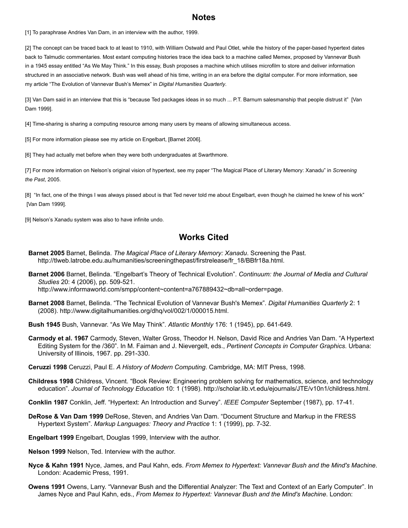#### **Notes**

<span id="page-8-1"></span>[1] To paraphrase Andries Van Dam, in an interview with the author, 1999.

<span id="page-8-4"></span>[2] The concept can be traced back to at least to 1910, with William Ostwald and Paul Otlet, while the history of the paper-based hypertext dates back to Talmudic commentaries. Most extant computing histories trace the idea back to a machine called Memex, proposed by Vannevar Bush in a 1945 essay entitled "As We May Think." In this essay, Bush proposes a machine which utilises microfilm to store and deliver information structured in an associative network. Bush was well ahead of his time, writing in an era before the digital computer. For more information, see my article ["The Evolution of Vannevar Bush's Memex"](#page-8-3) in *Digital Humanities Quarterly*.

<span id="page-8-6"></span>[\[3\] Van Dam said in an interview that this is "because Ted packages ideas in so much ... P.T. Barnum salesmanship that people distrust it" \[Van](#page-9-1) Dam 1999].

<span id="page-8-7"></span>[4] Time-sharing is sharing a computing resource among many users by means of allowing simultaneous access.

<span id="page-8-9"></span>[5] For more information please see my article on Engelbart, [[Barnet 2006](#page-8-19)].

<span id="page-8-10"></span>[6] They had actually met before when they were both undergraduates at Swarthmore.

<span id="page-8-11"></span>[7] For more information on Nelson's original vision of hypertext, see my paper "The Magical Place of Literary Memory: Xanadu" in *Screening the Past*, 2005.

<span id="page-8-13"></span>[8] "In fact, one of the things I was always pissed about is that Ted never told me about Engelbart, even though he claimed he knew of his work" [\[Van Dam 1999\]](#page-9-1).

<span id="page-8-15"></span>[9] Nelson's Xanadu system was also to have infinite undo.

#### **Works Cited**

- **Barnet 2005** Barnet, Belinda. *The Magical Place of Literary Memory: Xanadu*. Screening the Past. [http://tlweb.latrobe.edu.au/humanities/screeningthepast/firstrelease/fr\\_18/BBfr18a.html.](http://tlweb.latrobe.edu.au/humanities/screeningthepast/firstrelease/fr_18/BBfr18a.html)
- <span id="page-8-19"></span>**Barnet 2006** Barnet, Belinda. "Engelbart's Theory of Technical Evolution". *Continuum: the Journal of Media and Cultural Studies* 20: 4 (2006), pp. 509-521. <http://www.informaworld.com/smpp/content~content=a767889432~db=all~order=page>.
- <span id="page-8-3"></span>**Barnet 2008** Barnet, Belinda. "The Technical Evolution of Vannevar Bush's Memex". *Digital Humanities Quarterly* 2: 1 (2008). [http://www.digitalhumanities.org/dhq/vol/002/1/000015.html.](http://www.digitalhumanities.org/dhq/vol/002/1/000015.html)

<span id="page-8-18"></span>**Bush 1945** Bush, Vannevar. "As We May Think". *Atlantic Monthly* 176: 1 (1945), pp. 641-649.

- <span id="page-8-12"></span>**Carmody et al. 1967** Carmody, Steven, Walter Gross, Theodor H. Nelson, David Rice and Andries Van Dam. "A Hypertext Editing System for the /360". In M. Faiman and J. Nievergelt, eds., *Pertinent Concepts in Computer Graphics*. Urbana: University of Illinois, 1967. pp. 291-330.
- <span id="page-8-14"></span>**Ceruzzi 1998** Ceruzzi, Paul E. *A History of Modern Computing*. Cambridge, MA: MIT Press, 1998.
- <span id="page-8-2"></span>**Childress 1998** Childress, Vincent. "Book Review: Engineering problem solving for mathematics, science, and technology education". *Journal of Technology Education* 10: 1 (1998). [http://scholar.lib.vt.edu/ejournals/JTE/v10n1/childress.html.](http://scholar.lib.vt.edu/ejournals/JTE/v10n1/childress.html)
- <span id="page-8-16"></span>**Conklin 1987** Conklin, Jeff. "Hypertext: An Introduction and Survey". *IEEE Computer* September (1987), pp. 17-41.
- <span id="page-8-17"></span>**DeRose & Van Dam 1999** DeRose, Steven, and Andries Van Dam. "Document Structure and Markup in the FRESS Hypertext System". *Markup Languages: Theory and Practice* 1: 1 (1999), pp. 7-32.
- <span id="page-8-8"></span>**Engelbart 1999** Engelbart, Douglas 1999, Interview with the author.
- <span id="page-8-5"></span>**Nelson 1999** Nelson, Ted. Interview with the author.
- **Nyce & Kahn 1991** Nyce, James, and Paul Kahn, eds. *From Memex to Hypertext: Vannevar Bush and the Mind's Machine*. London: Academic Press, 1991.
- <span id="page-8-0"></span>**Owens 1991** Owens, Larry. "Vannevar Bush and the Differential Analyzer: The Text and Context of an Early Computer". In James Nyce and Paul Kahn, eds., *From Memex to Hypertext: Vannevar Bush and the Mind's Machine*. London: